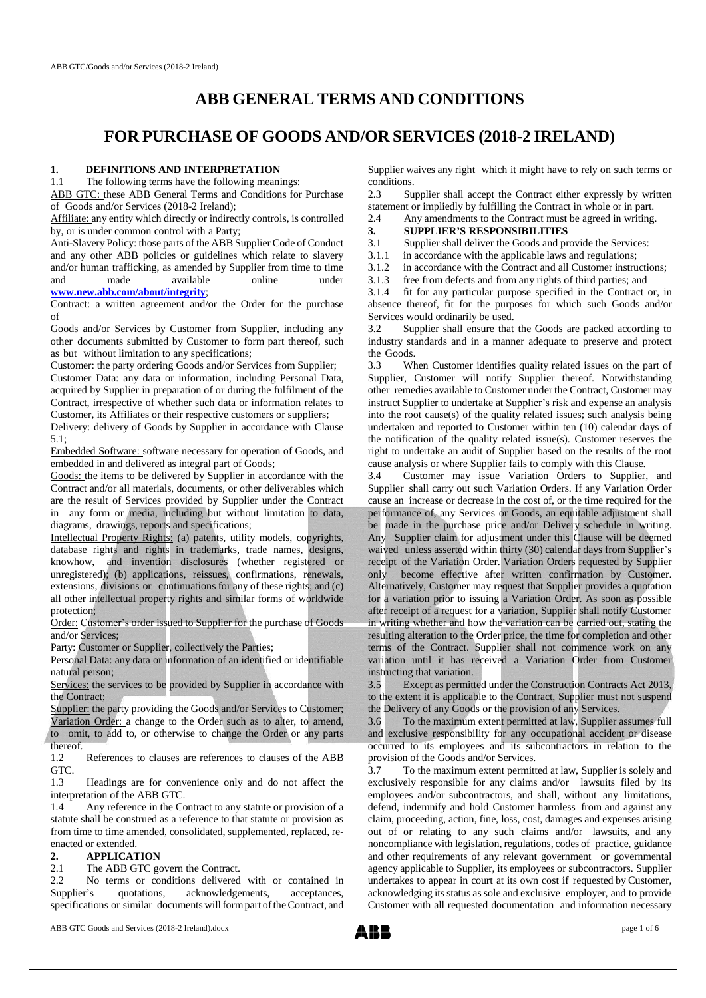# **ABB GENERAL TERMS AND CONDITIONS**

# **FOR PURCHASE OF GOODS AND/OR SERVICES (2018-2 IRELAND)**

### **1. DEFINITIONS AND INTERPRETATION**

1.1 The following terms have the following meanings:

ABB GTC: these ABB General Terms and Conditions for Purchase of Goods and/or Services (2018-2 Ireland);

Affiliate: any entity which directly or indirectly controls, is controlled by, or is under common control with a Party;

Anti-Slavery Policy: those parts of the ABB Supplier Code of Conduct and any other ABB policies or guidelines which relate to slavery and/or human trafficking, as amended by Supplier from time to time and made available online unde[r](http://www.abb.com/Integrity.)

**[www.new.abb.com/about/integrity](http://www.new.abb.com/about/integrity)**;

Contract: a written agreement and/or the Order for the purchase of

Goods and/or Services by Customer from Supplier, including any other documents submitted by Customer to form part thereof, such as but without limitation to any specifications;

Customer: the party ordering Goods and/or Services from Supplier;

Customer Data: any data or information, including Personal Data, acquired by Supplier in preparation of or during the fulfilment of the Contract, irrespective of whether such data or information relates to Customer, its Affiliates or their respective customers or suppliers;

Delivery: delivery of Goods by Supplier in accordance with Clause 5.1;

Embedded Software: software necessary for operation of Goods, and embedded in and delivered as integral part of Goods;

Goods: the items to be delivered by Supplier in accordance with the Contract and/or all materials, documents, or other deliverables which are the result of Services provided by Supplier under the Contract in any form or media, including but without limitation to data, diagrams, drawings, reports and specifications;

Intellectual Property Rights: (a) patents, utility models, copyrights, database rights and rights in trademarks, trade names, designs, knowhow, and invention disclosures (whether registered or unregistered); (b) applications, reissues, confirmations, renewals, extensions, divisions or continuations for any of these rights; and (c) all other intellectual property rights and similar forms of worldwide protection;

Order: Customer's order issued to Supplier for the purchase of Goods and/or Services;

Party: Customer or Supplier, collectively the Parties;

Personal Data: any data or information of an identified or identifiable natural person;

Services: the services to be provided by Supplier in accordance with the Contract;

Supplier: the party providing the Goods and/or Services to Customer; Variation Order: a change to the Order such as to alter, to amend, to omit, to add to, or otherwise to change the Order or any parts

thereof. 1.2 References to clauses are references to clauses of the ABB

GTC.

1.3 Headings are for convenience only and do not affect the interpretation of the ABB GTC.

1.4 Any reference in the Contract to any statute or provision of a statute shall be construed as a reference to that statute or provision as from time to time amended, consolidated, supplemented, replaced, reenacted or extended.

### **2. APPLICATION**

2.1 The ABB GTC govern the Contract.

2.2 No terms or conditions delivered with or contained in Supplier's quotations, acknowledgements, acceptances, specifications or similar documents will form part of the Contract, and Supplier waives any right which it might have to rely on such terms or conditions.

2.3 Supplier shall accept the Contract either expressly by written statement or impliedly by fulfilling the Contract in whole or in part.

2.4 Any amendments to the Contract must be agreed in writing.

# **3. SUPPLIER'S RESPONSIBILITIES**<br>3.1 Supplier shall deliver the Goods and pr

Supplier shall deliver the Goods and provide the Services:

3.1.1 in accordance with the applicable laws and regulations;<br>3.1.2 in accordance with the Contract and all Customer instru

3.1.2 in accordance with the Contract and all Customer instructions;<br>3.1.3 free from defects and from any rights of third parties; and

free from defects and from any rights of third parties; and

3.1.4 fit for any particular purpose specified in the Contract or, in absence thereof, fit for the purposes for which such Goods and/or Services would ordinarily be used.

3.2 Supplier shall ensure that the Goods are packed according to industry standards and in a manner adequate to preserve and protect the Goods.

3.3 When Customer identifies quality related issues on the part of Supplier, Customer will notify Supplier thereof. Notwithstanding other remedies available to Customer under the Contract, Customer may instruct Supplier to undertake at Supplier's risk and expense an analysis into the root cause(s) of the quality related issues; such analysis being undertaken and reported to Customer within ten (10) calendar days of the notification of the quality related issue(s). Customer reserves the right to undertake an audit of Supplier based on the results of the root cause analysis or where Supplier fails to comply with this Clause.

3.4 Customer may issue Variation Orders to Supplier, and Supplier shall carry out such Variation Orders. If any Variation Order cause an increase or decrease in the cost of, or the time required for the performance of, any Services or Goods, an equitable adjustment shall be made in the purchase price and/or Delivery schedule in writing. Any Supplier claim for adjustment under this Clause will be deemed waived unless asserted within thirty (30) calendar days from Supplier's receipt of the Variation Order. Variation Orders requested by Supplier only become effective after written confirmation by Customer. Alternatively, Customer may request that Supplier provides a quotation for a variation prior to issuing a Variation Order. As soon as possible after receipt of a request for a variation, Supplier shall notify Customer in writing whether and how the variation can be carried out, stating the resulting alteration to the Order price, the time for completion and other terms of the Contract. Supplier shall not commence work on any variation until it has received a Variation Order from Customer instructing that variation.

3.5 Except as permitted under the Construction Contracts Act 2013, to the extent it is applicable to the Contract, Supplier must not suspend the Delivery of any Goods or the provision of any Services.

3.6 To the maximum extent permitted at law, Supplier assumes full and exclusive responsibility for any occupational accident or disease occurred to its employees and its subcontractors in relation to the provision of the Goods and/or Services.

3.7 To the maximum extent permitted at law, Supplier is solely and exclusively responsible for any claims and/or lawsuits filed by its employees and/or subcontractors, and shall, without any limitations, defend, indemnify and hold Customer harmless from and against any claim, proceeding, action, fine, loss, cost, damages and expenses arising out of or relating to any such claims and/or lawsuits, and any noncompliance with legislation, regulations, codes of practice, guidance and other requirements of any relevant government or governmental agency applicable to Supplier, its employees or subcontractors. Supplier undertakes to appear in court at its own cost if requested by Customer, acknowledging its status as sole and exclusive employer, and to provide Customer with all requested documentation and information necessary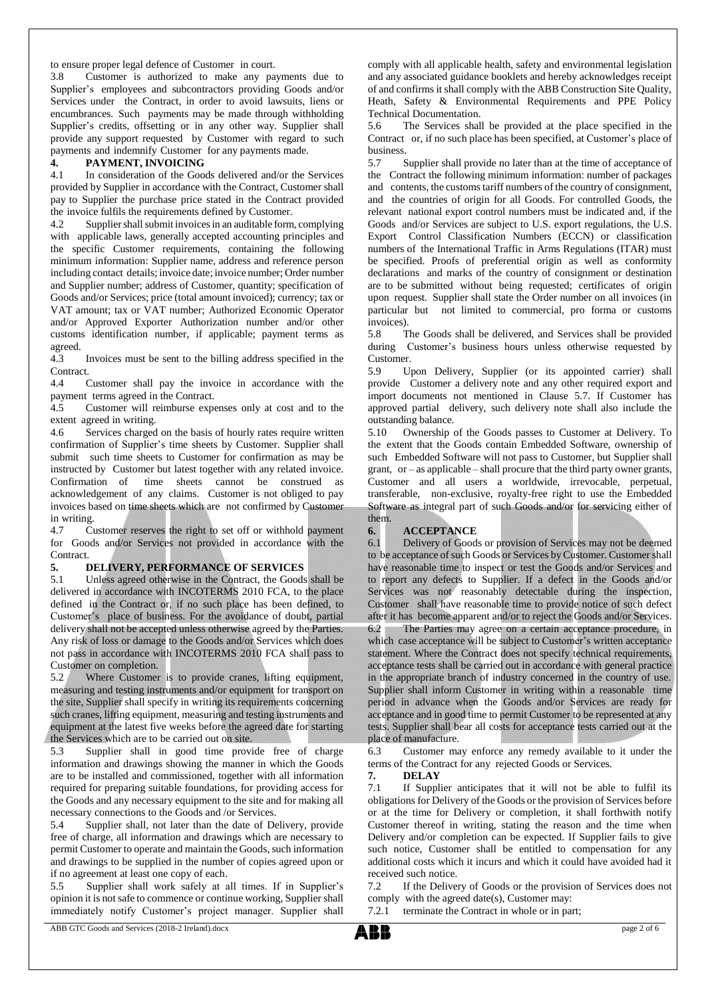to ensure proper legal defence of Customer in court.

3.8 Customer is authorized to make any payments due to Supplier's employees and subcontractors providing Goods and/or Services under the Contract, in order to avoid lawsuits, liens or encumbrances. Such payments may be made through withholding Supplier's credits, offsetting or in any other way. Supplier shall provide any support requested by Customer with regard to such payments and indemnify Customer for any payments made.

### **4. PAYMENT, INVOICING**

4.1 In consideration of the Goods delivered and/or the Services provided by Supplier in accordance with the Contract, Customer shall pay to Supplier the purchase price stated in the Contract provided the invoice fulfils the requirements defined by Customer.

4.2 Supplier shall submit invoices in an auditable form, complying with applicable laws, generally accepted accounting principles and the specific Customer requirements, containing the following minimum information: Supplier name, address and reference person including contact details; invoice date; invoice number; Order number and Supplier number; address of Customer, quantity; specification of Goods and/or Services; price (total amount invoiced); currency; tax or VAT amount; tax or VAT number; Authorized Economic Operator and/or Approved Exporter Authorization number and/or other customs identification number, if applicable; payment terms as agreed.

4.3 Invoices must be sent to the billing address specified in the Contract.

4.4 Customer shall pay the invoice in accordance with the payment terms agreed in the Contract.

4.5 Customer will reimburse expenses only at cost and to the extent agreed in writing.

4.6 Services charged on the basis of hourly rates require written confirmation of Supplier's time sheets by Customer. Supplier shall submit such time sheets to Customer for confirmation as may be instructed by Customer but latest together with any related invoice. Confirmation of time sheets cannot be construed as acknowledgement of any claims. Customer is not obliged to pay invoices based on time sheets which are not confirmed by Customer in writing.

4.7 Customer reserves the right to set off or withhold payment for Goods and/or Services not provided in accordance with the Contract.

# **5. DELIVERY, PERFORMANCE OF SERVICES**

5.1 Unless agreed otherwise in the Contract, the Goods shall be delivered in accordance with INCOTERMS 2010 FCA, to the place defined in the Contract or, if no such place has been defined, to Customer's place of business. For the avoidance of doubt, partial delivery shall not be accepted unless otherwise agreed by the Parties. Any risk of loss or damage to the Goods and/or Services which does not pass in accordance with INCOTERMS 2010 FCA shall pass to Customer on completion.

5.2 Where Customer is to provide cranes, lifting equipment, measuring and testing instruments and/or equipment for transport on the site, Supplier shall specify in writing its requirements concerning such cranes, lifting equipment, measuring and testing instruments and equipment at the latest five weeks before the agreed date for starting the Services which are to be carried out on site.

5.3 Supplier shall in good time provide free of charge information and drawings showing the manner in which the Goods are to be installed and commissioned, together with all information required for preparing suitable foundations, for providing access for the Goods and any necessary equipment to the site and for making all necessary connections to the Goods and /or Services.

5.4 Supplier shall, not later than the date of Delivery, provide free of charge, all information and drawings which are necessary to permit Customer to operate and maintain the Goods, such information and drawings to be supplied in the number of copies agreed upon or if no agreement at least one copy of each.

5.5 Supplier shall work safely at all times. If in Supplier's opinion it is not safe to commence or continue working, Supplier shall immediately notify Customer's project manager. Supplier shall comply with all applicable health, safety and environmental legislation and any associated guidance booklets and hereby acknowledges receipt of and confirms it shall comply with the ABB Construction Site Quality, Heath, Safety & Environmental Requirements and PPE Policy Technical Documentation.

5.6 The Services shall be provided at the place specified in the Contract or, if no such place has been specified, at Customer's place of business<br> $5.7$ 

Supplier shall provide no later than at the time of acceptance of the Contract the following minimum information: number of packages and contents, the customs tariff numbers of the country of consignment, and the countries of origin for all Goods. For controlled Goods, the relevant national export control numbers must be indicated and, if the Goods and/or Services are subject to U.S. export regulations, the U.S. Export Control Classification Numbers (ECCN) or classification numbers of the International Traffic in Arms Regulations (ITAR) must be specified. Proofs of preferential origin as well as conformity declarations and marks of the country of consignment or destination are to be submitted without being requested; certificates of origin upon request. Supplier shall state the Order number on all invoices (in particular but not limited to commercial, pro forma or customs invoices).

5.8 The Goods shall be delivered, and Services shall be provided during Customer's business hours unless otherwise requested by Customer.

5.9 Upon Delivery, Supplier (or its appointed carrier) shall provide Customer a delivery note and any other required export and import documents not mentioned in Clause 5.7. If Customer has approved partial delivery, such delivery note shall also include the outstanding balance.

5.10 Ownership of the Goods passes to Customer at Delivery. To the extent that the Goods contain Embedded Software, ownership of such Embedded Software will not pass to Customer, but Supplier shall grant, or – as applicable – shall procure that the third party owner grants, Customer and all users a worldwide, irrevocable, perpetual, transferable, non-exclusive, royalty-free right to use the Embedded Software as integral part of such Goods and/or for servicing either of them.

# **6. ACCEPTANCE**

6.1 Delivery of Goods or provision of Services may not be deemed to be acceptance of such Goods or Services by Customer. Customer shall have reasonable time to inspect or test the Goods and/or Services and to report any defects to Supplier. If a defect in the Goods and/or Services was not reasonably detectable during the inspection, Customer shall have reasonable time to provide notice of such defect after it has become apparent and/or to reject the Goods and/or Services. 6.2 The Parties may agree on a certain acceptance procedure, in which case acceptance will be subject to Customer's written acceptance statement. Where the Contract does not specify technical requirements, acceptance tests shall be carried out in accordance with general practice in the appropriate branch of industry concerned in the country of use. Supplier shall inform Customer in writing within a reasonable time period in advance when the Goods and/or Services are ready for acceptance and in good time to permit Customer to be represented at any tests. Supplier shall bear all costs for acceptance tests carried out at the place of manufacture.

6.3 Customer may enforce any remedy available to it under the terms of the Contract for any rejected Goods or Services.

### **7. DELAY**

7.1 If Supplier anticipates that it will not be able to fulfil its obligations for Delivery of the Goods or the provision of Services before or at the time for Delivery or completion, it shall forthwith notify Customer thereof in writing, stating the reason and the time when Delivery and/or completion can be expected. If Supplier fails to give such notice, Customer shall be entitled to compensation for any additional costs which it incurs and which it could have avoided had it received such notice.

7.2 If the Delivery of Goods or the provision of Services does not comply with the agreed date(s), Customer may:

7.2.1 terminate the Contract in whole or in part;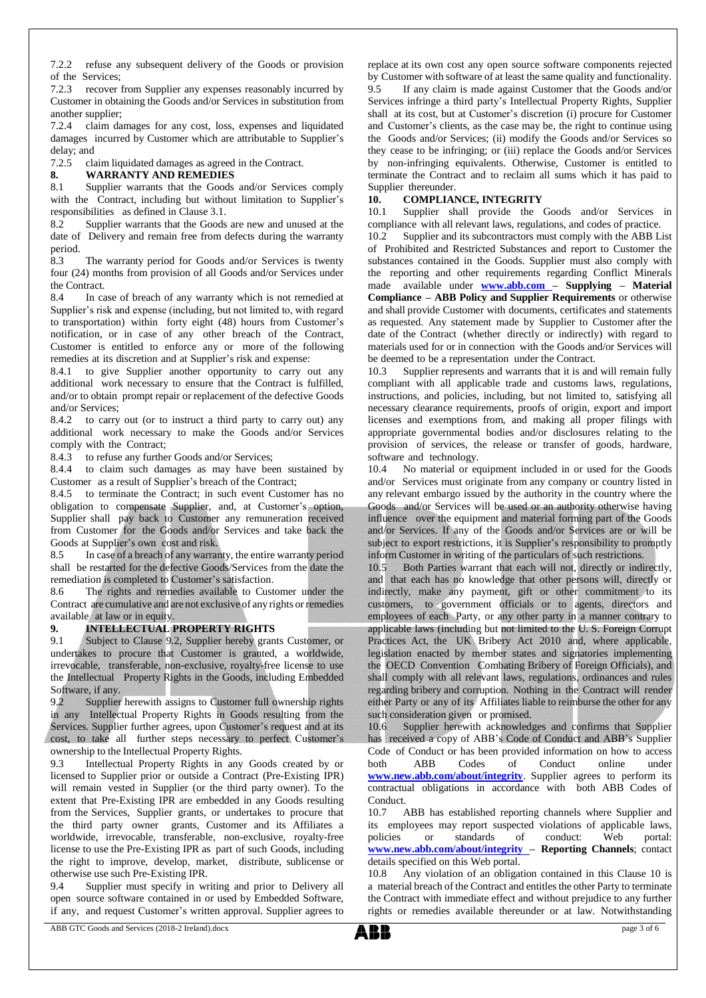7.2.2 refuse any subsequent delivery of the Goods or provision of the Services;

7.2.3 recover from Supplier any expenses reasonably incurred by Customer in obtaining the Goods and/or Services in substitution from another supplier;

7.2.4 claim damages for any cost, loss, expenses and liquidated damages incurred by Customer which are attributable to Supplier's delay; and  $7.2.5$  cla

claim liquidated damages as agreed in the Contract.

#### **8. WARRANTY AND REMEDIES**

8.1 Supplier warrants that the Goods and/or Services comply with the Contract, including but without limitation to Supplier's responsibilities as defined in Clause 3.1.

8.2 Supplier warrants that the Goods are new and unused at the date of Delivery and remain free from defects during the warranty period.

8.3 The warranty period for Goods and/or Services is twenty four (24) months from provision of all Goods and/or Services under the Contract.

8.4 In case of breach of any warranty which is not remedied at Supplier's risk and expense (including, but not limited to, with regard to transportation) within forty eight (48) hours from Customer's notification, or in case of any other breach of the Contract, Customer is entitled to enforce any or more of the following remedies at its discretion and at Supplier's risk and expense:

8.4.1 to give Supplier another opportunity to carry out any additional work necessary to ensure that the Contract is fulfilled, and/or to obtain prompt repair or replacement of the defective Goods and/or Services;

8.4.2 to carry out (or to instruct a third party to carry out) any additional work necessary to make the Goods and/or Services comply with the Contract;

8.4.3 to refuse any further Goods and/or Services;

8.4.4 to claim such damages as may have been sustained by Customer as a result of Supplier's breach of the Contract;

8.4.5 to terminate the Contract; in such event Customer has no obligation to compensate Supplier, and, at Customer's option, Supplier shall pay back to Customer any remuneration received from Customer for the Goods and/or Services and take back the Goods at Supplier's own cost and risk.

8.5 In case of a breach of any warranty, the entire warranty period shall be restarted for the defective Goods/Services from the date the remediation is completed to Customer's satisfaction.

8.6 The rights and remedies available to Customer under the Contract are cumulative and are not exclusive of any rights orremedies available at law or in equity.

# **9. INTELLECTUAL PROPERTY RIGHTS**

9.1 Subject to Clause 9.2, Supplier hereby grants Customer, or undertakes to procure that Customer is granted, a worldwide, irrevocable, transferable, non-exclusive, royalty-free license to use the Intellectual Property Rights in the Goods, including Embedded Software, if any.

9.2 Supplier herewith assigns to Customer full ownership rights in any Intellectual Property Rights in Goods resulting from the Services. Supplier further agrees, upon Customer's request and at its cost, to take all further steps necessary to perfect Customer's ownership to the Intellectual Property Rights.

9.3 Intellectual Property Rights in any Goods created by or licensed to Supplier prior or outside a Contract (Pre-Existing IPR) will remain vested in Supplier (or the third party owner). To the extent that Pre-Existing IPR are embedded in any Goods resulting from the Services, Supplier grants, or undertakes to procure that the third party owner grants, Customer and its Affiliates a worldwide, irrevocable, transferable, non-exclusive, royalty-free license to use the Pre-Existing IPR as part of such Goods, including the right to improve, develop, market, distribute, sublicense or otherwise use such Pre-Existing IPR.

9.4 Supplier must specify in writing and prior to Delivery all open source software contained in or used by Embedded Software, if any, and request Customer's written approval. Supplier agrees to

replace at its own cost any open source software components rejected by Customer with software of at least the same quality and functionality. 9.5 If any claim is made against Customer that the Goods and/or Services infringe a third party's Intellectual Property Rights, Supplier shall at its cost, but at Customer's discretion (i) procure for Customer and Customer's clients, as the case may be, the right to continue using the Goods and/or Services; (ii) modify the Goods and/or Services so they cease to be infringing; or (iii) replace the Goods and/or Services by non-infringing equivalents. Otherwise, Customer is entitled to terminate the Contract and to reclaim all sums which it has paid to Supplier thereunder.

# **10. COMPLIANCE, INTEGRITY**

10.1 Supplier shall provide the Goods and/or Services in compliance with all relevant laws, regulations, and codes of practice.

10.2 Supplier and its subcontractors must comply with the ABB List of Prohibited and Restricted Substances and report to Customer the substances contained in the Goods. Supplier must also comply with the reporting and other requirements regarding Conflict Minerals made available under **[www.abb.com](http://www.abb.com/) – Supplying – Material Compliance – ABB Policy and Supplier Requirements** or otherwise and shall provide Customer with documents, certificates and statements as requested. Any statement made by Supplier to Customer after the date of the Contract (whether directly or indirectly) with regard to materials used for or in connection with the Goods and/or Services will be deemed to be a representation under the Contract.

10.3 Supplier represents and warrants that it is and will remain fully compliant with all applicable trade and customs laws, regulations, instructions, and policies, including, but not limited to, satisfying all necessary clearance requirements, proofs of origin, export and import licenses and exemptions from, and making all proper filings with appropriate governmental bodies and/or disclosures relating to the provision of services, the release or transfer of goods, hardware, software and technology.

10.4 No material or equipment included in or used for the Goods and/or Services must originate from any company or country listed in any relevant embargo issued by the authority in the country where the Goods and/or Services will be used or an authority otherwise having influence over the equipment and material forming part of the Goods and/or Services. If any of the Goods and/or Services are or will be subject to export restrictions, it is Supplier's responsibility to promptly inform Customer in writing of the particulars of such restrictions.

10.5 Both Parties warrant that each will not, directly or indirectly, and that each has no knowledge that other persons will, directly or indirectly, make any payment, gift or other commitment to its customers, to government officials or to agents, directors and employees of each Party, or any other party in a manner contrary to applicable laws (including but not limited to the U. S. Foreign Corrupt Practices Act, the UK Bribery Act 2010 and, where applicable, legislation enacted by member states and signatories implementing the OECD Convention Combating Bribery of Foreign Officials), and shall comply with all relevant laws, regulations, ordinances and rules regarding bribery and corruption. Nothing in the Contract will render either Party or any of its Affiliates liable to reimburse the other for any such consideration given or promised.

10.6 Supplier herewith acknowledges and confirms that Supplier has received a copy of ABB's Code of Conduct and ABB's Supplier Code of Conduct or has been provided information on how to access both ABB Codes of Conduct online under **[www.new.abb.com/about/integrity](http://www.new.abb.com/about/integrity)**. Supplier agrees to perform its contractual obligations in accordance with both ABB Codes of Conduct.

10.7 ABB has established reporting channels where Supplier and its employees may report suspected violations of applicable laws, policies or standards of conduct: Web portal: **www.new.abb.com/about/integrity – Reporting Channels**; contact details specified on this Web portal.

10.8 Any violation of an obligation contained in this Clause 10 is a material breach of the Contract and entitles the other Party to terminate the Contract with immediate effect and without prejudice to any further rights or remedies available thereunder or at law. Notwithstanding

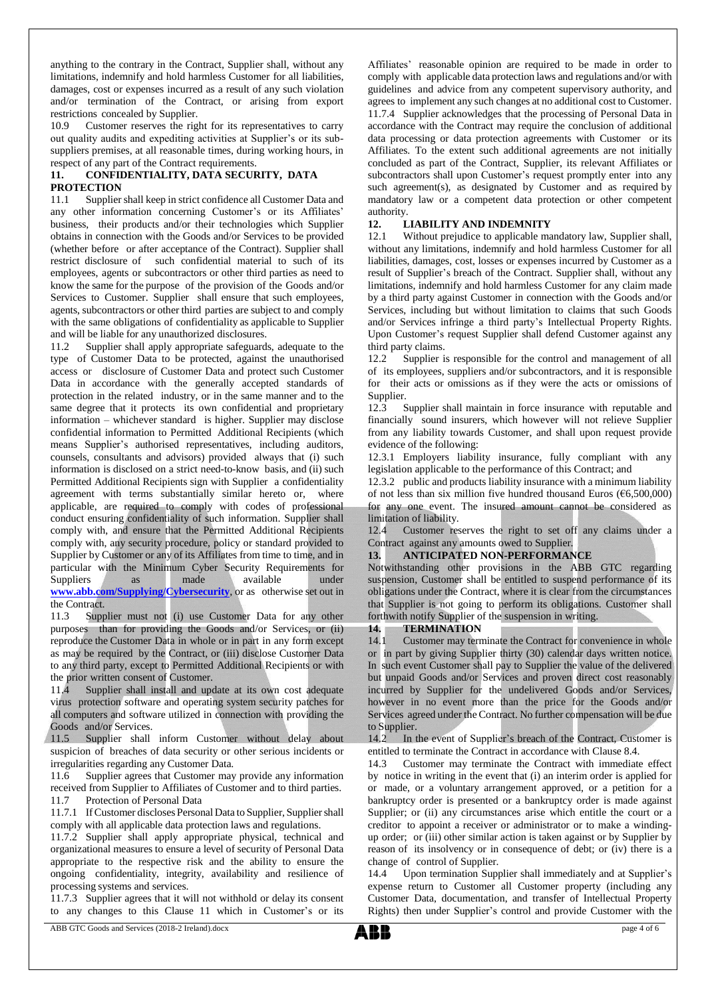anything to the contrary in the Contract, Supplier shall, without any limitations, indemnify and hold harmless Customer for all liabilities, damages, cost or expenses incurred as a result of any such violation and/or termination of the Contract, or arising from export restrictions concealed by Supplier.

10.9 Customer reserves the right for its representatives to carry out quality audits and expediting activities at Supplier's or its subsuppliers premises, at all reasonable times, during working hours, in respect of any part of the Contract requirements.

# **11. CONFIDENTIALITY, DATA SECURITY, DATA PROTECTION**

11.1 Supplier shall keep in strict confidence all Customer Data and any other information concerning Customer's or its Affiliates' business, their products and/or their technologies which Supplier obtains in connection with the Goods and/or Services to be provided (whether before or after acceptance of the Contract). Supplier shall restrict disclosure of such confidential material to such of its employees, agents or subcontractors or other third parties as need to know the same for the purpose of the provision of the Goods and/or Services to Customer. Supplier shall ensure that such employees, agents, subcontractors or other third parties are subject to and comply with the same obligations of confidentiality as applicable to Supplier and will be liable for any unauthorized disclosures.

11.2 Supplier shall apply appropriate safeguards, adequate to the type of Customer Data to be protected, against the unauthorised access or disclosure of Customer Data and protect such Customer Data in accordance with the generally accepted standards of protection in the related industry, or in the same manner and to the same degree that it protects its own confidential and proprietary information – whichever standard is higher. Supplier may disclose confidential information to Permitted Additional Recipients (which means Supplier's authorised representatives, including auditors, counsels, consultants and advisors) provided always that (i) such information is disclosed on a strict need-to-know basis, and (ii) such Permitted Additional Recipients sign with Supplier a confidentiality agreement with terms substantially similar hereto or, where applicable, are required to comply with codes of professional conduct ensuring confidentiality of such information. Supplier shall comply with, and ensure that the Permitted Additional Recipients comply with, any security procedure, policy or standard provided to Supplier by Customer or any of its Affiliates from time to time, and in particular with the Minimum Cyber Security Requirements for Suppliers as made available under **[www.abb.com/Supplying/Cybersecurity](http://www.abb.com/Supplying/Cybersecurity)**, or as otherwise set out in the Contract.

11.3 Supplier must not (i) use Customer Data for any other purposes than for providing the Goods and/or Services, or (ii) reproduce the Customer Data in whole or in part in any form except as may be required by the Contract, or (iii) disclose Customer Data to any third party, except to Permitted Additional Recipients or with the prior written consent of Customer.

11.4 Supplier shall install and update at its own cost adequate virus protection software and operating system security patches for all computers and software utilized in connection with providing the Goods and/or Services.

11.5 Supplier shall inform Customer without delay about suspicion of breaches of data security or other serious incidents or irregularities regarding any Customer Data.

11.6 Supplier agrees that Customer may provide any information received from Supplier to Affiliates of Customer and to third parties. 11.7 Protection of Personal Data

11.7.1 If Customer discloses Personal Data to Supplier, Supplier shall comply with all applicable data protection laws and regulations.

11.7.2 Supplier shall apply appropriate physical, technical and organizational measures to ensure a level of security of Personal Data appropriate to the respective risk and the ability to ensure the ongoing confidentiality, integrity, availability and resilience of processing systems and services.

11.7.3 Supplier agrees that it will not withhold or delay its consent to any changes to this Clause 11 which in Customer's or its

Affiliates' reasonable opinion are required to be made in order to comply with applicable data protection laws and regulations and/or with guidelines and advice from any competent supervisory authority, and agrees to implement any such changes at no additional cost to Customer. 11.7.4 Supplier acknowledges that the processing of Personal Data in accordance with the Contract may require the conclusion of additional data processing or data protection agreements with Customer or its Affiliates. To the extent such additional agreements are not initially concluded as part of the Contract, Supplier, its relevant Affiliates or subcontractors shall upon Customer's request promptly enter into any such agreement(s), as designated by Customer and as required by mandatory law or a competent data protection or other competent authority.

# **12. LIABILITY AND INDEMNITY**

12.1 Without prejudice to applicable mandatory law, Supplier shall, without any limitations, indemnify and hold harmless Customer for all liabilities, damages, cost, losses or expenses incurred by Customer as a result of Supplier's breach of the Contract. Supplier shall, without any limitations, indemnify and hold harmless Customer for any claim made by a third party against Customer in connection with the Goods and/or Services, including but without limitation to claims that such Goods and/or Services infringe a third party's Intellectual Property Rights. Upon Customer's request Supplier shall defend Customer against any third party claims.

12.2 Supplier is responsible for the control and management of all of its employees, suppliers and/or subcontractors, and it is responsible for their acts or omissions as if they were the acts or omissions of Supplier.

12.3 Supplier shall maintain in force insurance with reputable and financially sound insurers, which however will not relieve Supplier from any liability towards Customer, and shall upon request provide evidence of the following:

12.3.1 Employers liability insurance, fully compliant with any legislation applicable to the performance of this Contract; and

12.3.2 public and products liability insurance with a minimum liability of not less than six million five hundred thousand Euros ( $\epsilon$ 6,500,000) for any one event. The insured amount cannot be considered as limitation of liability.

12.4 Customer reserves the right to set off any claims under a Contract against any amounts owed to Supplier.

#### **13. ANTICIPATED NON-PERFORMANCE**

Notwithstanding other provisions in the ABB GTC regarding suspension, Customer shall be entitled to suspend performance of its obligations under the Contract, where it is clear from the circumstances that Supplier is not going to perform its obligations. Customer shall forthwith notify Supplier of the suspension in writing.

#### **14. TERMINATION**

14.1 Customer may terminate the Contract for convenience in whole or in part by giving Supplier thirty (30) calendar days written notice. In such event Customer shall pay to Supplier the value of the delivered but unpaid Goods and/or Services and proven direct cost reasonably incurred by Supplier for the undelivered Goods and/or Services, however in no event more than the price for the Goods and/or Services agreed under the Contract. No further compensation will be due to Supplier.

14.2 In the event of Supplier's breach of the Contract, Customer is entitled to terminate the Contract in accordance with Clause 8.4.

14.3 Customer may terminate the Contract with immediate effect by notice in writing in the event that (i) an interim order is applied for or made, or a voluntary arrangement approved, or a petition for a bankruptcy order is presented or a bankruptcy order is made against Supplier; or (ii) any circumstances arise which entitle the court or a creditor to appoint a receiver or administrator or to make a windingup order; or (iii) other similar action is taken against or by Supplier by reason of its insolvency or in consequence of debt; or (iv) there is a change of control of Supplier.

14.4 Upon termination Supplier shall immediately and at Supplier's expense return to Customer all Customer property (including any Customer Data, documentation, and transfer of Intellectual Property Rights) then under Supplier's control and provide Customer with the

ABB GTC Goods and Services (2018-2 Ireland).docx page 4 of 6

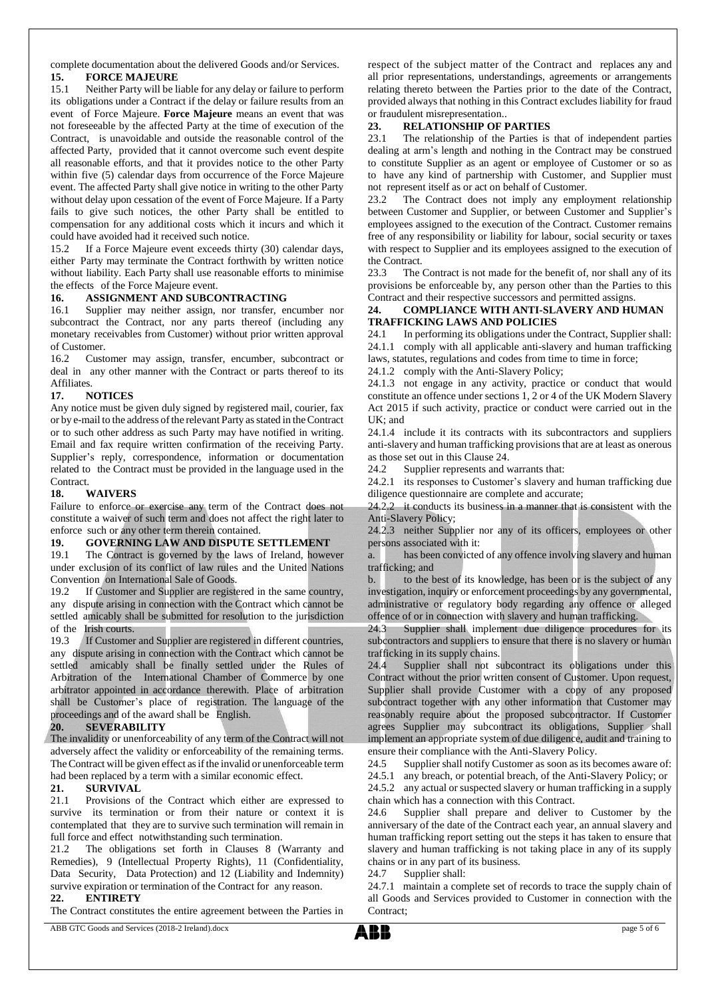complete documentation about the delivered Goods and/or Services. **15. FORCE MAJEURE**

15.1 Neither Party will be liable for any delay or failure to perform its obligations under a Contract if the delay or failure results from an event of Force Majeure. **Force Majeure** means an event that was not foreseeable by the affected Party at the time of execution of the Contract, is unavoidable and outside the reasonable control of the affected Party, provided that it cannot overcome such event despite all reasonable efforts, and that it provides notice to the other Party within five (5) calendar days from occurrence of the Force Majeure event. The affected Party shall give notice in writing to the other Party without delay upon cessation of the event of Force Majeure. If a Party fails to give such notices, the other Party shall be entitled to compensation for any additional costs which it incurs and which it could have avoided had it received such notice.

15.2 If a Force Majeure event exceeds thirty (30) calendar days, either Party may terminate the Contract forthwith by written notice without liability. Each Party shall use reasonable efforts to minimise the effects of the Force Majeure event.

#### **16. ASSIGNMENT AND SUBCONTRACTING**

16.1 Supplier may neither assign, nor transfer, encumber nor subcontract the Contract, nor any parts thereof (including any monetary receivables from Customer) without prior written approval of Customer.

16.2 Customer may assign, transfer, encumber, subcontract or deal in any other manner with the Contract or parts thereof to its Affiliates.

#### **17. NOTICES**

Any notice must be given duly signed by registered mail, courier, fax or by e-mail to the address of the relevant Party as stated in the Contract or to such other address as such Party may have notified in writing. Email and fax require written confirmation of the receiving Party. Supplier's reply, correspondence, information or documentation related to the Contract must be provided in the language used in the Contract.

#### **18. WAIVERS**

Failure to enforce or exercise any term of the Contract does not constitute a waiver of such term and does not affect the right later to enforce such or any other term therein contained.

#### **19. GOVERNING LAW AND DISPUTE SETTLEMENT**

19.1 The Contract is governed by the laws of Ireland, however under exclusion of its conflict of law rules and the United Nations Convention on International Sale of Goods.

19.2 If Customer and Supplier are registered in the same country, any dispute arising in connection with the Contract which cannot be settled amicably shall be submitted for resolution to the jurisdiction of the Irish courts.

19.3 If Customer and Supplier are registered in different countries, any dispute arising in connection with the Contract which cannot be settled amicably shall be finally settled under the Rules of Arbitration of the International Chamber of Commerce by one arbitrator appointed in accordance therewith. Place of arbitration shall be Customer's place of registration. The language of the proceedings and of the award shall be English.

# **20. SEVERABILITY**

The invalidity or unenforceability of any term of the Contract will not adversely affect the validity or enforceability of the remaining terms. The Contract will be given effect as if the invalid or unenforceable term had been replaced by a term with a similar economic effect.

#### **21. SURVIVAL**

21.1 Provisions of the Contract which either are expressed to survive its termination or from their nature or context it is contemplated that they are to survive such termination will remain in full force and effect notwithstanding such termination.

21.2 The obligations set forth in Clauses 8 (Warranty and Remedies), 9 (Intellectual Property Rights), 11 (Confidentiality, Data Security, Data Protection) and 12 (Liability and Indemnity) survive expiration or termination of the Contract for any reason.

# **22. ENTIRETY**

The Contract constitutes the entire agreement between the Parties in

respect of the subject matter of the Contract and replaces any and all prior representations, understandings, agreements or arrangements relating thereto between the Parties prior to the date of the Contract, provided always that nothing in this Contract excludes liability for fraud or fraudulent misrepresentation..

#### **23. RELATIONSHIP OF PARTIES**

23.1 The relationship of the Parties is that of independent parties dealing at arm's length and nothing in the Contract may be construed to constitute Supplier as an agent or employee of Customer or so as to have any kind of partnership with Customer, and Supplier must not represent itself as or act on behalf of Customer.

23.2 The Contract does not imply any employment relationship between Customer and Supplier, or between Customer and Supplier's employees assigned to the execution of the Contract. Customer remains free of any responsibility or liability for labour, social security or taxes with respect to Supplier and its employees assigned to the execution of the Contract.

23.3 The Contract is not made for the benefit of, nor shall any of its provisions be enforceable by, any person other than the Parties to this Contract and their respective successors and permitted assigns.

#### **24. COMPLIANCE WITH ANTI-SLAVERY AND HUMAN TRAFFICKING LAWS AND POLICIES**

24.1 In performing its obligations under the Contract, Supplier shall: 24.1.1 comply with all applicable anti-slavery and human trafficking laws, statutes, regulations and codes from time to time in force;

24.1.2 comply with the Anti-Slavery Policy;

24.1.3 not engage in any activity, practice or conduct that would constitute an offence under sections 1, 2 or 4 of the UK Modern Slavery Act 2015 if such activity, practice or conduct were carried out in the UK; and

24.1.4 include it its contracts with its subcontractors and suppliers anti-slavery and human trafficking provisions that are at least as onerous as those set out in this Clause 24.

24.2 Supplier represents and warrants that:

24.2.1 its responses to Customer's slavery and human trafficking due diligence questionnaire are complete and accurate;

24.2.2 it conducts its business in a manner that is consistent with the Anti-Slavery Policy;

24.2.3 neither Supplier nor any of its officers, employees or other persons associated with it:

a. has been convicted of any offence involving slavery and human trafficking; and

b. to the best of its knowledge, has been or is the subject of any investigation, inquiry or enforcement proceedings by any governmental, administrative or regulatory body regarding any offence or alleged offence of or in connection with slavery and human trafficking.

24.3 Supplier shall implement due diligence procedures for its subcontractors and suppliers to ensure that there is no slavery or human trafficking in its supply chains.

24.4 Supplier shall not subcontract its obligations under this Contract without the prior written consent of Customer. Upon request, Supplier shall provide Customer with a copy of any proposed subcontract together with any other information that Customer may reasonably require about the proposed subcontractor. If Customer agrees Supplier may subcontract its obligations, Supplier shall implement an appropriate system of due diligence, audit and training to ensure their compliance with the Anti-Slavery Policy.

24.5 Supplier shall notify Customer as soon as its becomes aware of:

24.5.1 any breach, or potential breach, of the Anti-Slavery Policy; or

24.5.2 any actual or suspected slavery or human trafficking in a supply chain which has a connection with this Contract.

24.6 Supplier shall prepare and deliver to Customer by the anniversary of the date of the Contract each year, an annual slavery and human trafficking report setting out the steps it has taken to ensure that slavery and human trafficking is not taking place in any of its supply chains or in any part of its business.

24.7 Supplier shall:

24.7.1 maintain a complete set of records to trace the supply chain of all Goods and Services provided to Customer in connection with the Contract;